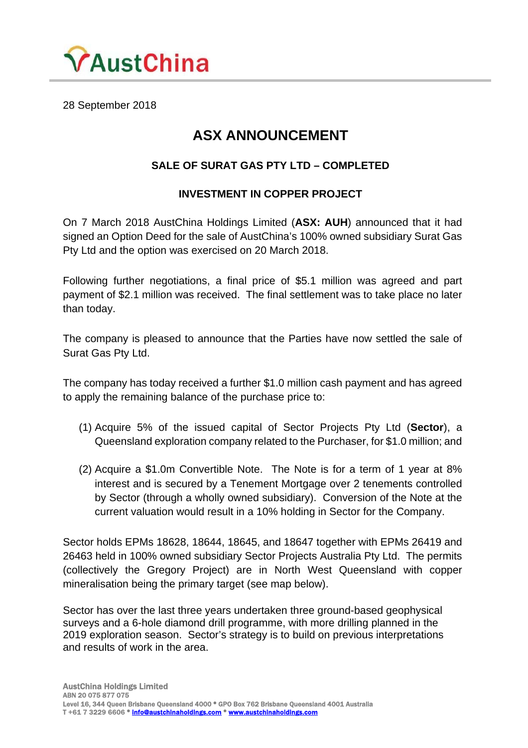

28 September 2018

## **ASX ANNOUNCEMENT**

## **SALE OF SURAT GAS PTY LTD – COMPLETED**

## **INVESTMENT IN COPPER PROJECT**

On 7 March 2018 AustChina Holdings Limited (**ASX: AUH**) announced that it had signed an Option Deed for the sale of AustChina's 100% owned subsidiary Surat Gas Pty Ltd and the option was exercised on 20 March 2018.

Following further negotiations, a final price of \$5.1 million was agreed and part payment of \$2.1 million was received. The final settlement was to take place no later than today.

The company is pleased to announce that the Parties have now settled the sale of Surat Gas Pty Ltd.

The company has today received a further \$1.0 million cash payment and has agreed to apply the remaining balance of the purchase price to:

- (1) Acquire 5% of the issued capital of Sector Projects Pty Ltd (**Sector**), a Queensland exploration company related to the Purchaser, for \$1.0 million; and
- (2) Acquire a \$1.0m Convertible Note. The Note is for a term of 1 year at 8% interest and is secured by a Tenement Mortgage over 2 tenements controlled by Sector (through a wholly owned subsidiary). Conversion of the Note at the current valuation would result in a 10% holding in Sector for the Company.

Sector holds EPMs 18628, 18644, 18645, and 18647 together with EPMs 26419 and 26463 held in 100% owned subsidiary Sector Projects Australia Pty Ltd. The permits (collectively the Gregory Project) are in North West Queensland with copper mineralisation being the primary target (see map below).

Sector has over the last three years undertaken three ground-based geophysical surveys and a 6-hole diamond drill programme, with more drilling planned in the 2019 exploration season. Sector's strategy is to build on previous interpretations and results of work in the area.